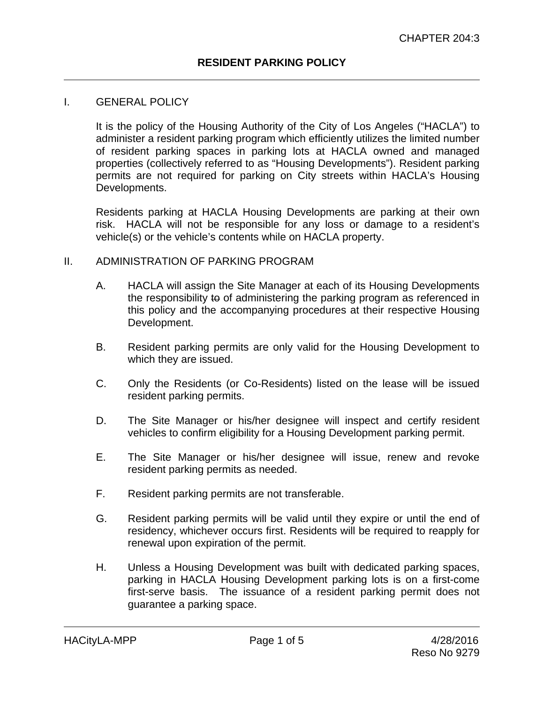#### I. GENERAL POLICY

It is the policy of the Housing Authority of the City of Los Angeles ("HACLA") to administer a resident parking program which efficiently utilizes the limited number of resident parking spaces in parking lots at HACLA owned and managed properties (collectively referred to as "Housing Developments"). Resident parking permits are not required for parking on City streets within HACLA's Housing Developments.

Residents parking at HACLA Housing Developments are parking at their own risk. HACLA will not be responsible for any loss or damage to a resident's vehicle(s) or the vehicle's contents while on HACLA property.

#### II. ADMINISTRATION OF PARKING PROGRAM

- A. HACLA will assign the Site Manager at each of its Housing Developments the responsibility to of administering the parking program as referenced in this policy and the accompanying procedures at their respective Housing Development.
- B. Resident parking permits are only valid for the Housing Development to which they are issued.
- C. Only the Residents (or Co-Residents) listed on the lease will be issued resident parking permits.
- D. The Site Manager or his/her designee will inspect and certify resident vehicles to confirm eligibility for a Housing Development parking permit.
- E. The Site Manager or his/her designee will issue, renew and revoke resident parking permits as needed.
- F. Resident parking permits are not transferable.
- G. Resident parking permits will be valid until they expire or until the end of residency, whichever occurs first. Residents will be required to reapply for renewal upon expiration of the permit.
- H. Unless a Housing Development was built with dedicated parking spaces, parking in HACLA Housing Development parking lots is on a first-come first-serve basis. The issuance of a resident parking permit does not guarantee a parking space.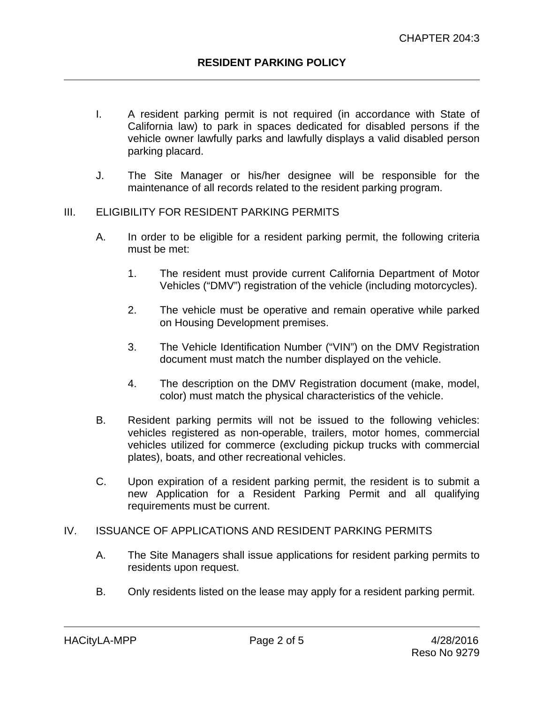- I. A resident parking permit is not required (in accordance with State of California law) to park in spaces dedicated for disabled persons if the vehicle owner lawfully parks and lawfully displays a valid disabled person parking placard.
- J. The Site Manager or his/her designee will be responsible for the maintenance of all records related to the resident parking program.

## III. ELIGIBILITY FOR RESIDENT PARKING PERMITS

- A. In order to be eligible for a resident parking permit, the following criteria must be met:
	- 1. The resident must provide current California Department of Motor Vehicles ("DMV") registration of the vehicle (including motorcycles).
	- 2. The vehicle must be operative and remain operative while parked on Housing Development premises.
	- 3. The Vehicle Identification Number ("VIN") on the DMV Registration document must match the number displayed on the vehicle.
	- 4. The description on the DMV Registration document (make, model, color) must match the physical characteristics of the vehicle.
- B. Resident parking permits will not be issued to the following vehicles: vehicles registered as non-operable, trailers, motor homes, commercial vehicles utilized for commerce (excluding pickup trucks with commercial plates), boats, and other recreational vehicles.
- C. Upon expiration of a resident parking permit, the resident is to submit a new Application for a Resident Parking Permit and all qualifying requirements must be current.

## IV. ISSUANCE OF APPLICATIONS AND RESIDENT PARKING PERMITS

- A. The Site Managers shall issue applications for resident parking permits to residents upon request.
- B. Only residents listed on the lease may apply for a resident parking permit.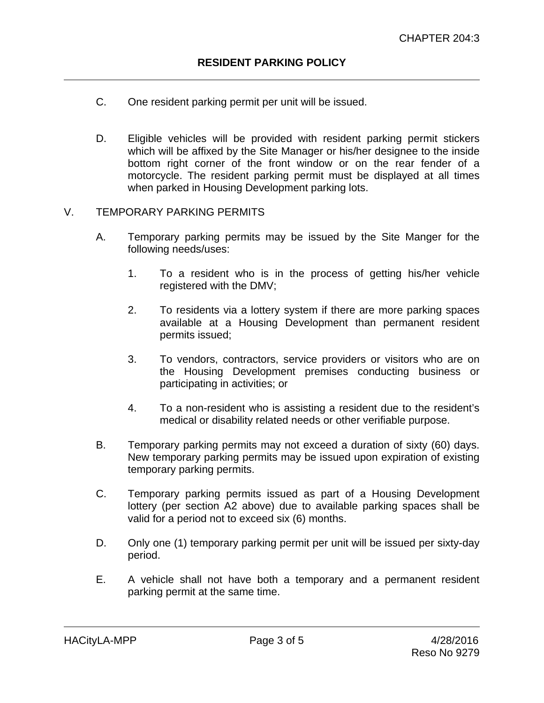- C. One resident parking permit per unit will be issued.
- D. Eligible vehicles will be provided with resident parking permit stickers which will be affixed by the Site Manager or his/her designee to the inside bottom right corner of the front window or on the rear fender of a motorcycle. The resident parking permit must be displayed at all times when parked in Housing Development parking lots.

## V. TEMPORARY PARKING PERMITS

- A. Temporary parking permits may be issued by the Site Manger for the following needs/uses:
	- 1. To a resident who is in the process of getting his/her vehicle registered with the DMV;
	- 2. To residents via a lottery system if there are more parking spaces available at a Housing Development than permanent resident permits issued;
	- 3. To vendors, contractors, service providers or visitors who are on the Housing Development premises conducting business or participating in activities; or
	- 4. To a non-resident who is assisting a resident due to the resident's medical or disability related needs or other verifiable purpose.
- B. Temporary parking permits may not exceed a duration of sixty (60) days. New temporary parking permits may be issued upon expiration of existing temporary parking permits.
- C. Temporary parking permits issued as part of a Housing Development lottery (per section A2 above) due to available parking spaces shall be valid for a period not to exceed six (6) months.
- D. Only one (1) temporary parking permit per unit will be issued per sixty-day period.
- E. A vehicle shall not have both a temporary and a permanent resident parking permit at the same time.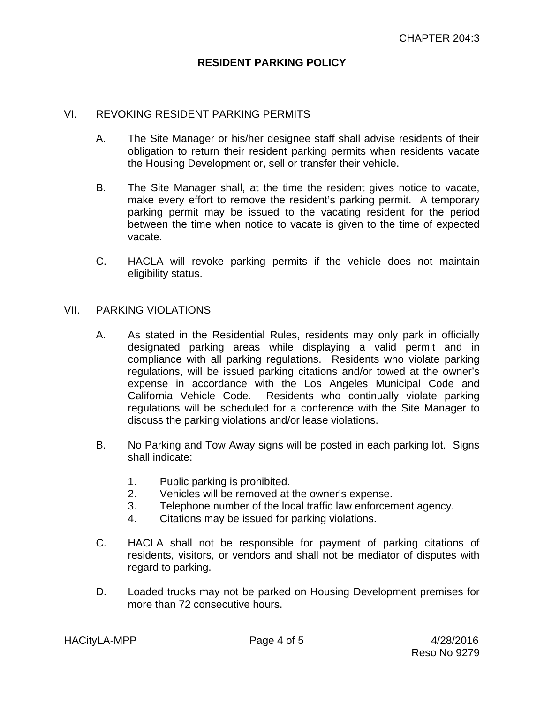## VI. REVOKING RESIDENT PARKING PERMITS

- A. The Site Manager or his/her designee staff shall advise residents of their obligation to return their resident parking permits when residents vacate the Housing Development or, sell or transfer their vehicle.
- B. The Site Manager shall, at the time the resident gives notice to vacate, make every effort to remove the resident's parking permit. A temporary parking permit may be issued to the vacating resident for the period between the time when notice to vacate is given to the time of expected vacate.
- C. HACLA will revoke parking permits if the vehicle does not maintain eligibility status.

#### VII. PARKING VIOLATIONS

- A. As stated in the Residential Rules, residents may only park in officially designated parking areas while displaying a valid permit and in compliance with all parking regulations. Residents who violate parking regulations, will be issued parking citations and/or towed at the owner's expense in accordance with the Los Angeles Municipal Code and<br>California Vehicle Code. Residents who continually violate parking Residents who continually violate parking regulations will be scheduled for a conference with the Site Manager to discuss the parking violations and/or lease violations.
- B. No Parking and Tow Away signs will be posted in each parking lot. Signs shall indicate:
	- 1. Public parking is prohibited.
	- 2. Vehicles will be removed at the owner's expense.
	- 3. Telephone number of the local traffic law enforcement agency.
	- 4. Citations may be issued for parking violations.
- C. HACLA shall not be responsible for payment of parking citations of residents, visitors, or vendors and shall not be mediator of disputes with regard to parking.
- D. Loaded trucks may not be parked on Housing Development premises for more than 72 consecutive hours.